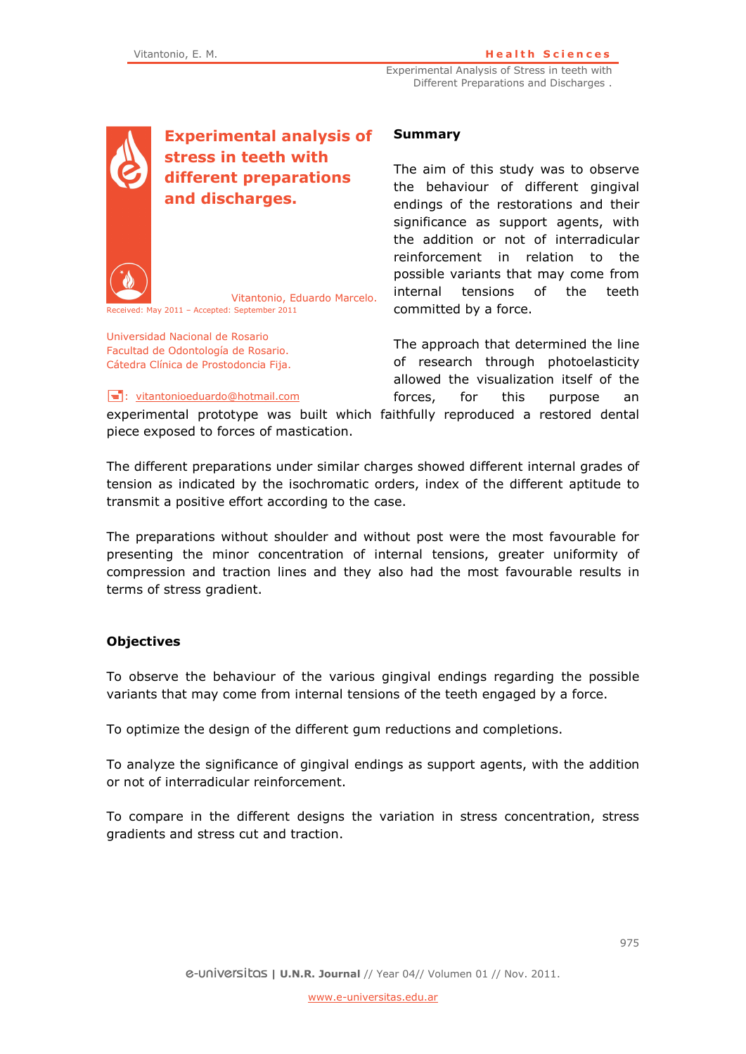Experimental Analysis of Stress in teeth with Different Preparations and Discharges .

**Experimental analysis of stress in teeth with different preparations and discharges.** 

Vitantonio, Eduardo Marcelo.

#### **Summary**

The aim of this study was to observe the behaviour of different gingival endings of the restorations and their significance as support agents, with the addition or not of interradicular reinforcement in relation to the possible variants that may come from internal tensions of the teeth committed by a force.

The approach that determined the line of research through photoelasticity allowed the visualization itself of the forces, for this purpose an

 $\equiv$ : vitantonioeduardo@hotmail.com

Received: May 2011 – Accepted: September 2011

Universidad Nacional de Rosario Facultad de Odontología de Rosario. Cátedra Clínica de Prostodoncia Fija.

experimental prototype was built which faithfully reproduced a restored dental piece exposed to forces of mastication.

The different preparations under similar charges showed different internal grades of tension as indicated by the isochromatic orders, index of the different aptitude to transmit a positive effort according to the case.

The preparations without shoulder and without post were the most favourable for presenting the minor concentration of internal tensions, greater uniformity of compression and traction lines and they also had the most favourable results in terms of stress gradient.

# **Objectives**

To observe the behaviour of the various gingival endings regarding the possible variants that may come from internal tensions of the teeth engaged by a force.

To optimize the design of the different gum reductions and completions.

To analyze the significance of gingival endings as support agents, with the addition or not of interradicular reinforcement.

To compare in the different designs the variation in stress concentration, stress gradients and stress cut and traction.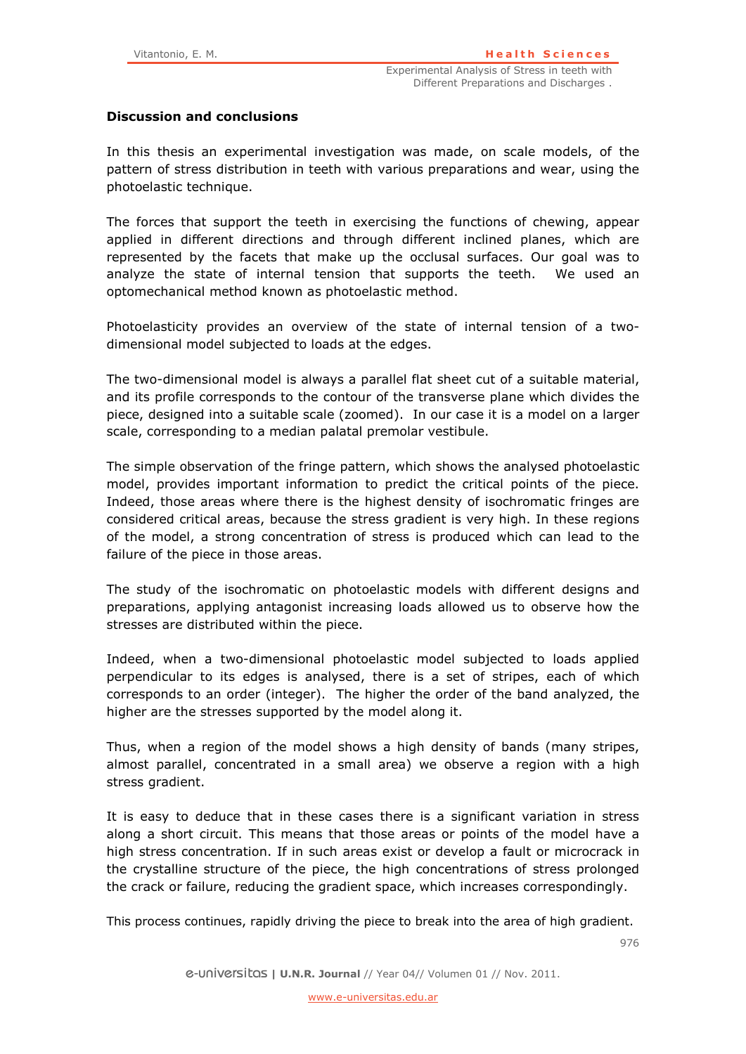# **Discussion and conclusions**

In this thesis an experimental investigation was made, on scale models, of the pattern of stress distribution in teeth with various preparations and wear, using the photoelastic technique.

The forces that support the teeth in exercising the functions of chewing, appear applied in different directions and through different inclined planes, which are represented by the facets that make up the occlusal surfaces. Our goal was to analyze the state of internal tension that supports the teeth. We used an optomechanical method known as photoelastic method.

Photoelasticity provides an overview of the state of internal tension of a twodimensional model subjected to loads at the edges.

The two-dimensional model is always a parallel flat sheet cut of a suitable material, and its profile corresponds to the contour of the transverse plane which divides the piece, designed into a suitable scale (zoomed). In our case it is a model on a larger scale, corresponding to a median palatal premolar vestibule.

The simple observation of the fringe pattern, which shows the analysed photoelastic model, provides important information to predict the critical points of the piece. Indeed, those areas where there is the highest density of isochromatic fringes are considered critical areas, because the stress gradient is very high. In these regions of the model, a strong concentration of stress is produced which can lead to the failure of the piece in those areas.

The study of the isochromatic on photoelastic models with different designs and preparations, applying antagonist increasing loads allowed us to observe how the stresses are distributed within the piece.

Indeed, when a two-dimensional photoelastic model subjected to loads applied perpendicular to its edges is analysed, there is a set of stripes, each of which corresponds to an order (integer). The higher the order of the band analyzed, the higher are the stresses supported by the model along it.

Thus, when a region of the model shows a high density of bands (many stripes, almost parallel, concentrated in a small area) we observe a region with a high stress gradient.

It is easy to deduce that in these cases there is a significant variation in stress along a short circuit. This means that those areas or points of the model have a high stress concentration. If in such areas exist or develop a fault or microcrack in the crystalline structure of the piece, the high concentrations of stress prolonged the crack or failure, reducing the gradient space, which increases correspondingly.

This process continues, rapidly driving the piece to break into the area of high gradient.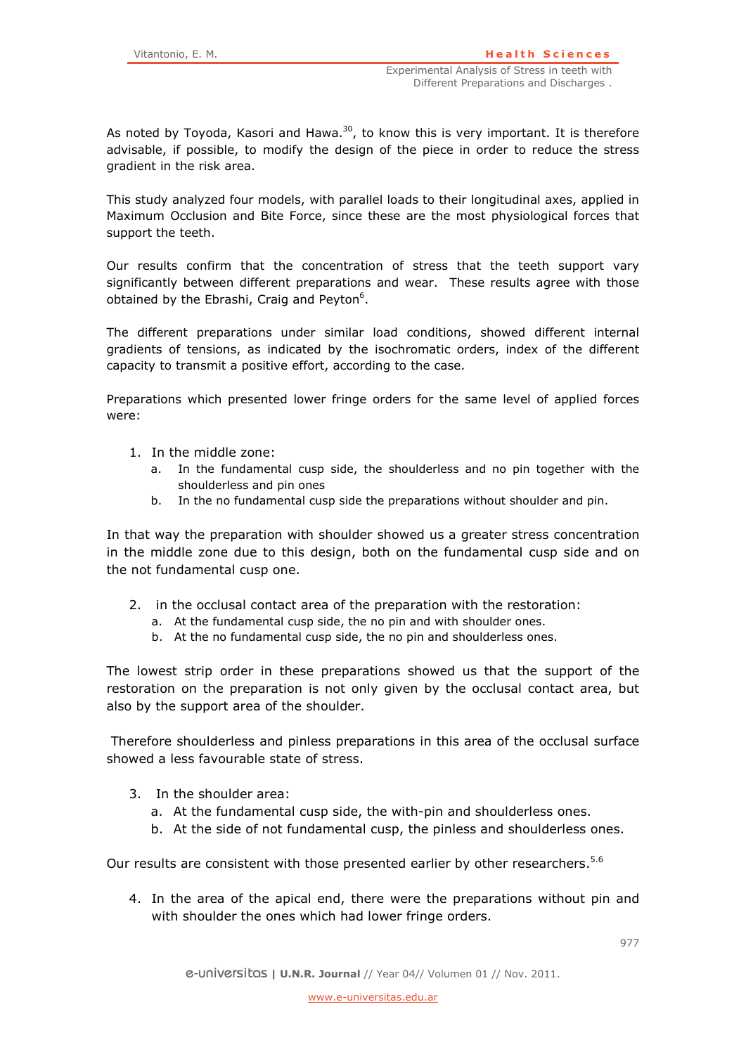As noted by Toyoda, Kasori and Hawa.<sup>30</sup>, to know this is very important. It is therefore advisable, if possible, to modify the design of the piece in order to reduce the stress gradient in the risk area.

This study analyzed four models, with parallel loads to their longitudinal axes, applied in Maximum Occlusion and Bite Force, since these are the most physiological forces that support the teeth.

Our results confirm that the concentration of stress that the teeth support vary significantly between different preparations and wear. These results agree with those obtained by the Ebrashi, Craig and Peyton<sup>6</sup>.

The different preparations under similar load conditions, showed different internal gradients of tensions, as indicated by the isochromatic orders, index of the different capacity to transmit a positive effort, according to the case.

Preparations which presented lower fringe orders for the same level of applied forces were:

- 1. In the middle zone:
	- a. In the fundamental cusp side, the shoulderless and no pin together with the shoulderless and pin ones
	- b. In the no fundamental cusp side the preparations without shoulder and pin.

In that way the preparation with shoulder showed us a greater stress concentration in the middle zone due to this design, both on the fundamental cusp side and on the not fundamental cusp one.

- 2. in the occlusal contact area of the preparation with the restoration:
	- a. At the fundamental cusp side, the no pin and with shoulder ones.
	- b. At the no fundamental cusp side, the no pin and shoulderless ones.

The lowest strip order in these preparations showed us that the support of the restoration on the preparation is not only given by the occlusal contact area, but also by the support area of the shoulder.

 Therefore shoulderless and pinless preparations in this area of the occlusal surface showed a less favourable state of stress.

- 3. In the shoulder area:
	- a. At the fundamental cusp side, the with-pin and shoulderless ones.
	- b. At the side of not fundamental cusp, the pinless and shoulderless ones.

Our results are consistent with those presented earlier by other researchers.<sup>5.6</sup>

4. In the area of the apical end, there were the preparations without pin and with shoulder the ones which had lower fringe orders.